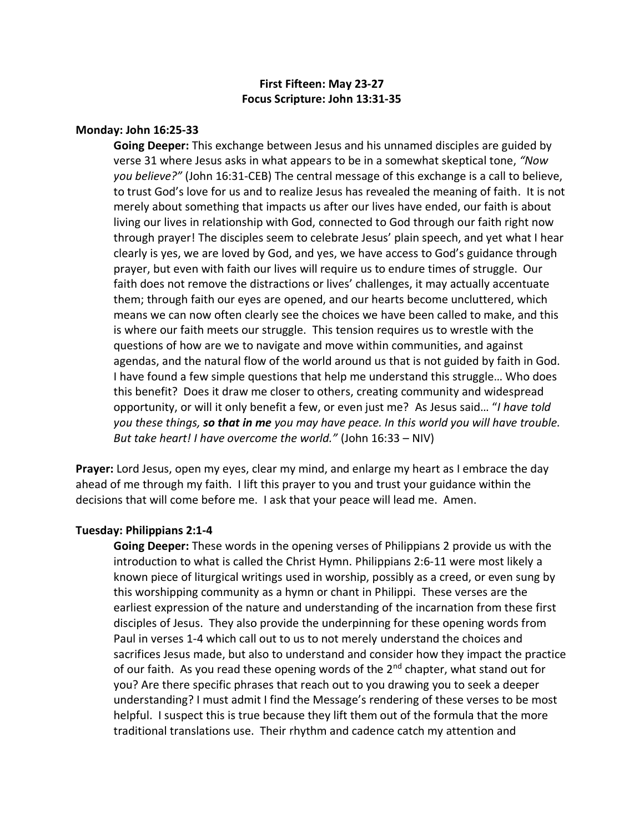# **First Fifteen: May 23-27 Focus Scripture: John 13:31-35**

## **Monday: John 16:25-33**

**Going Deeper:** This exchange between Jesus and his unnamed disciples are guided by verse 31 where Jesus asks in what appears to be in a somewhat skeptical tone, *"Now you believe?"* (John 16:31-CEB) The central message of this exchange is a call to believe, to trust God's love for us and to realize Jesus has revealed the meaning of faith. It is not merely about something that impacts us after our lives have ended, our faith is about living our lives in relationship with God, connected to God through our faith right now through prayer! The disciples seem to celebrate Jesus' plain speech, and yet what I hear clearly is yes, we are loved by God, and yes, we have access to God's guidance through prayer, but even with faith our lives will require us to endure times of struggle. Our faith does not remove the distractions or lives' challenges, it may actually accentuate them; through faith our eyes are opened, and our hearts become uncluttered, which means we can now often clearly see the choices we have been called to make, and this is where our faith meets our struggle. This tension requires us to wrestle with the questions of how are we to navigate and move within communities, and against agendas, and the natural flow of the world around us that is not guided by faith in God. I have found a few simple questions that help me understand this struggle… Who does this benefit? Does it draw me closer to others, creating community and widespread opportunity, or will it only benefit a few, or even just me? As Jesus said… "*I have told you these things, so that in me you may have peace. In this world you will have trouble. But take heart! I have overcome the world."* (John 16:33 – NIV)

**Prayer:** Lord Jesus, open my eyes, clear my mind, and enlarge my heart as I embrace the day ahead of me through my faith. I lift this prayer to you and trust your guidance within the decisions that will come before me. I ask that your peace will lead me. Amen.

#### **Tuesday: Philippians 2:1-4**

**Going Deeper:** These words in the opening verses of Philippians 2 provide us with the introduction to what is called the Christ Hymn. Philippians 2:6-11 were most likely a known piece of liturgical writings used in worship, possibly as a creed, or even sung by this worshipping community as a hymn or chant in Philippi. These verses are the earliest expression of the nature and understanding of the incarnation from these first disciples of Jesus. They also provide the underpinning for these opening words from Paul in verses 1-4 which call out to us to not merely understand the choices and sacrifices Jesus made, but also to understand and consider how they impact the practice of our faith. As you read these opening words of the 2<sup>nd</sup> chapter, what stand out for you? Are there specific phrases that reach out to you drawing you to seek a deeper understanding? I must admit I find the Message's rendering of these verses to be most helpful. I suspect this is true because they lift them out of the formula that the more traditional translations use. Their rhythm and cadence catch my attention and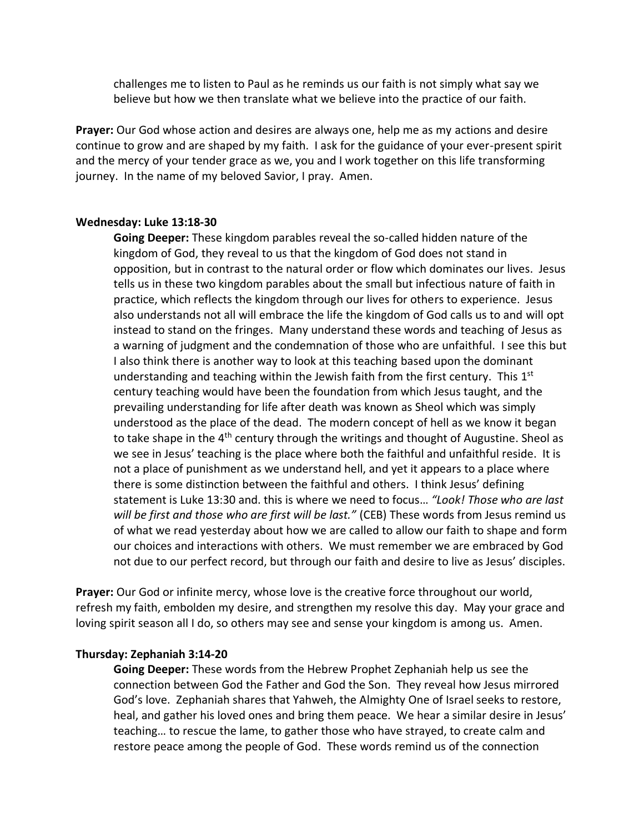challenges me to listen to Paul as he reminds us our faith is not simply what say we believe but how we then translate what we believe into the practice of our faith.

**Prayer:** Our God whose action and desires are always one, help me as my actions and desire continue to grow and are shaped by my faith. I ask for the guidance of your ever-present spirit and the mercy of your tender grace as we, you and I work together on this life transforming journey. In the name of my beloved Savior, I pray. Amen.

## **Wednesday: Luke 13:18-30**

**Going Deeper:** These kingdom parables reveal the so-called hidden nature of the kingdom of God, they reveal to us that the kingdom of God does not stand in opposition, but in contrast to the natural order or flow which dominates our lives. Jesus tells us in these two kingdom parables about the small but infectious nature of faith in practice, which reflects the kingdom through our lives for others to experience. Jesus also understands not all will embrace the life the kingdom of God calls us to and will opt instead to stand on the fringes. Many understand these words and teaching of Jesus as a warning of judgment and the condemnation of those who are unfaithful. I see this but I also think there is another way to look at this teaching based upon the dominant understanding and teaching within the Jewish faith from the first century. This  $1<sup>st</sup>$ century teaching would have been the foundation from which Jesus taught, and the prevailing understanding for life after death was known as Sheol which was simply understood as the place of the dead. The modern concept of hell as we know it began to take shape in the 4<sup>th</sup> century through the writings and thought of Augustine. Sheol as we see in Jesus' teaching is the place where both the faithful and unfaithful reside. It is not a place of punishment as we understand hell, and yet it appears to a place where there is some distinction between the faithful and others. I think Jesus' defining statement is Luke 13:30 and. this is where we need to focus… *"Look! Those who are last will be first and those who are first will be last."* (CEB) These words from Jesus remind us of what we read yesterday about how we are called to allow our faith to shape and form our choices and interactions with others. We must remember we are embraced by God not due to our perfect record, but through our faith and desire to live as Jesus' disciples.

**Prayer:** Our God or infinite mercy, whose love is the creative force throughout our world, refresh my faith, embolden my desire, and strengthen my resolve this day. May your grace and loving spirit season all I do, so others may see and sense your kingdom is among us. Amen.

#### **Thursday: Zephaniah 3:14-20**

**Going Deeper:** These words from the Hebrew Prophet Zephaniah help us see the connection between God the Father and God the Son. They reveal how Jesus mirrored God's love. Zephaniah shares that Yahweh, the Almighty One of Israel seeks to restore, heal, and gather his loved ones and bring them peace. We hear a similar desire in Jesus' teaching… to rescue the lame, to gather those who have strayed, to create calm and restore peace among the people of God. These words remind us of the connection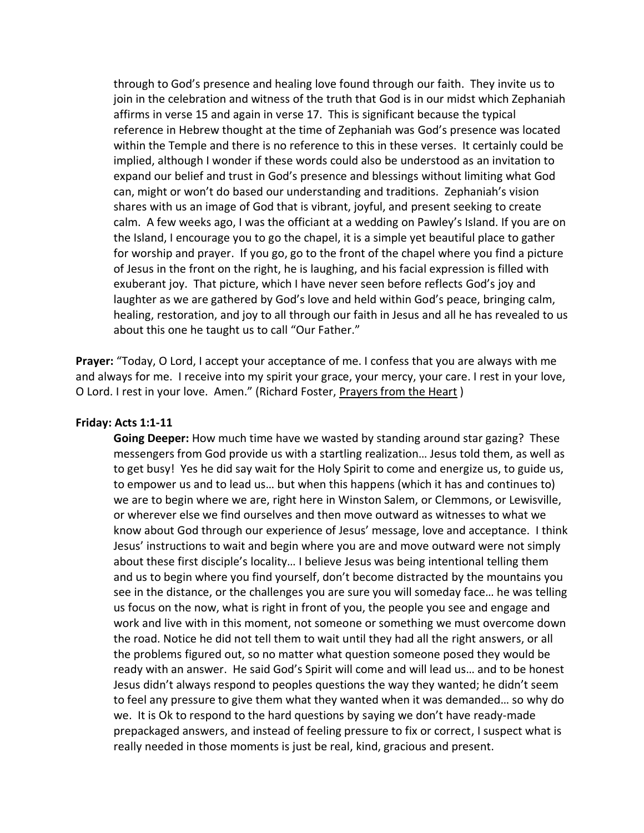through to God's presence and healing love found through our faith. They invite us to join in the celebration and witness of the truth that God is in our midst which Zephaniah affirms in verse 15 and again in verse 17. This is significant because the typical reference in Hebrew thought at the time of Zephaniah was God's presence was located within the Temple and there is no reference to this in these verses. It certainly could be implied, although I wonder if these words could also be understood as an invitation to expand our belief and trust in God's presence and blessings without limiting what God can, might or won't do based our understanding and traditions. Zephaniah's vision shares with us an image of God that is vibrant, joyful, and present seeking to create calm. A few weeks ago, I was the officiant at a wedding on Pawley's Island. If you are on the Island, I encourage you to go the chapel, it is a simple yet beautiful place to gather for worship and prayer. If you go, go to the front of the chapel where you find a picture of Jesus in the front on the right, he is laughing, and his facial expression is filled with exuberant joy. That picture, which I have never seen before reflects God's joy and laughter as we are gathered by God's love and held within God's peace, bringing calm, healing, restoration, and joy to all through our faith in Jesus and all he has revealed to us about this one he taught us to call "Our Father."

**Prayer:** "Today, O Lord, I accept your acceptance of me. I confess that you are always with me and always for me. I receive into my spirit your grace, your mercy, your care. I rest in your love, O Lord. I rest in your love. Amen." (Richard Foster, Prayers from the Heart )

## **Friday: Acts 1:1-11**

**Going Deeper:** How much time have we wasted by standing around star gazing? These messengers from God provide us with a startling realization… Jesus told them, as well as to get busy! Yes he did say wait for the Holy Spirit to come and energize us, to guide us, to empower us and to lead us… but when this happens (which it has and continues to) we are to begin where we are, right here in Winston Salem, or Clemmons, or Lewisville, or wherever else we find ourselves and then move outward as witnesses to what we know about God through our experience of Jesus' message, love and acceptance. I think Jesus' instructions to wait and begin where you are and move outward were not simply about these first disciple's locality… I believe Jesus was being intentional telling them and us to begin where you find yourself, don't become distracted by the mountains you see in the distance, or the challenges you are sure you will someday face… he was telling us focus on the now, what is right in front of you, the people you see and engage and work and live with in this moment, not someone or something we must overcome down the road. Notice he did not tell them to wait until they had all the right answers, or all the problems figured out, so no matter what question someone posed they would be ready with an answer. He said God's Spirit will come and will lead us… and to be honest Jesus didn't always respond to peoples questions the way they wanted; he didn't seem to feel any pressure to give them what they wanted when it was demanded… so why do we. It is Ok to respond to the hard questions by saying we don't have ready-made prepackaged answers, and instead of feeling pressure to fix or correct, I suspect what is really needed in those moments is just be real, kind, gracious and present.